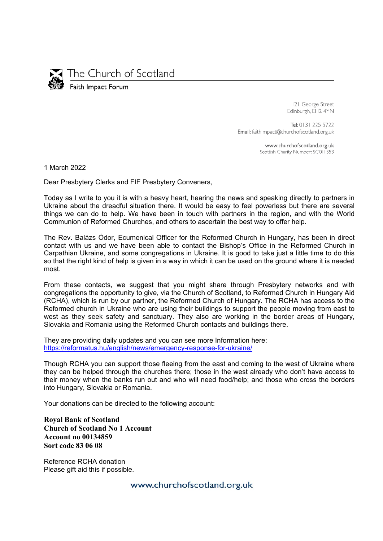

The Church of Scotland

Faith Impact Forum

121 George Street Edinburgh, EH2 4YN

Tel: 0131 225 5722 Email: faithimpact@churchofscotland.org.uk

> www.churchofscotland.org.uk Scottish Charity Number: SC011353

1 March 2022

Dear Presbytery Clerks and FIF Presbytery Conveners,

Today as I write to you it is with a heavy heart, hearing the news and speaking directly to partners in Ukraine about the dreadful situation there. It would be easy to feel powerless but there are several things we can do to help. We have been in touch with partners in the region, and with the World Communion of Reformed Churches, and others to ascertain the best way to offer help.

The Rev. Balázs Ódor, Ecumenical Officer for the Reformed Church in Hungary, has been in direct contact with us and we have been able to contact the Bishop's Office in the Reformed Church in Carpathian Ukraine, and some congregations in Ukraine. It is good to take just a little time to do this so that the right kind of help is given in a way in which it can be used on the ground where it is needed most.

From these contacts, we suggest that you might share through Presbytery networks and with congregations the opportunity to give, via the Church of Scotland, to Reformed Church in Hungary Aid (RCHA), which is run by our partner, the Reformed Church of Hungary. The RCHA has access to the Reformed church in Ukraine who are using their buildings to support the people moving from east to west as they seek safety and sanctuary. They also are working in the border areas of Hungary, Slovakia and Romania using the Reformed Church contacts and buildings there.

They are providing daily updates and you can see more Information here: https://reformatus.hu/english/news/emergency-response-for-ukraine/

Though RCHA you can support those fleeing from the east and coming to the west of Ukraine where they can be helped through the churches there; those in the west already who don't have access to their money when the banks run out and who will need food/help; and those who cross the borders into Hungary, Slovakia or Romania.

Your donations can be directed to the following account:

**Royal Bank of Scotland Church of Scotland No 1 Account Account no 00134859 Sort code 83 06 08** 

Reference RCHA donation Please gift aid this if possible.

www.churchofscotland.org.uk